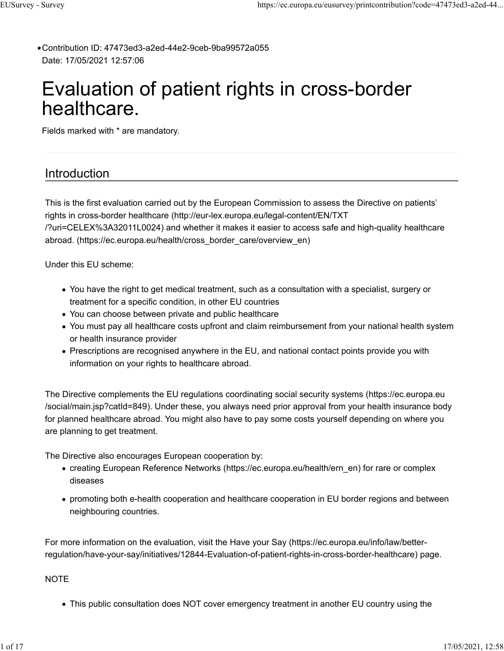Contribution ID: 47473ed3-a2ed-44e2-9ceb-9ba99572a055 **\*** Date: 17/05/2021 12:57:06

# Evaluation of patient rights in cross-border healthcare.

Fields marked with \* are mandatory.

# Introduction

This is the first evaluation carried out by the European Commission to assess the Directive on patients' rights in cross-border healthcare (http://eur-lex.europa.eu/legal-content/EN/TXT /?uri=CELEX%3A32011L0024) and whether it makes it easier to access safe and high-quality healthcare abroad. (https://ec.europa.eu/health/cross\_border\_care/overview\_en)

Under this EU scheme:

- You have the right to get medical treatment, such as a consultation with a specialist, surgery or treatment for a specific condition, in other EU countries
- You can choose between private and public healthcare
- You must pay all healthcare costs upfront and claim reimbursement from your national health system or health insurance provider
- Prescriptions are recognised anywhere in the EU, and national contact points provide you with information on your rights to healthcare abroad.

The Directive complements the EU regulations coordinating social security systems (https://ec.europa.eu /social/main.jsp?catId=849). Under these, you always need prior approval from your health insurance body for planned healthcare abroad. You might also have to pay some costs yourself depending on where you are planning to get treatment.

The Directive also encourages European cooperation by:

- creating European Reference Networks (https://ec.europa.eu/health/ern\_en) for rare or complex diseases
- promoting both e-health cooperation and healthcare cooperation in EU border regions and between neighbouring countries.

For more information on the evaluation, visit the Have your Say (https://ec.europa.eu/info/law/betterregulation/have-your-say/initiatives/12844-Evaluation-of-patient-rights-in-cross-border-healthcare) page.

## **NOTE**

This public consultation does NOT cover emergency treatment in another EU country using the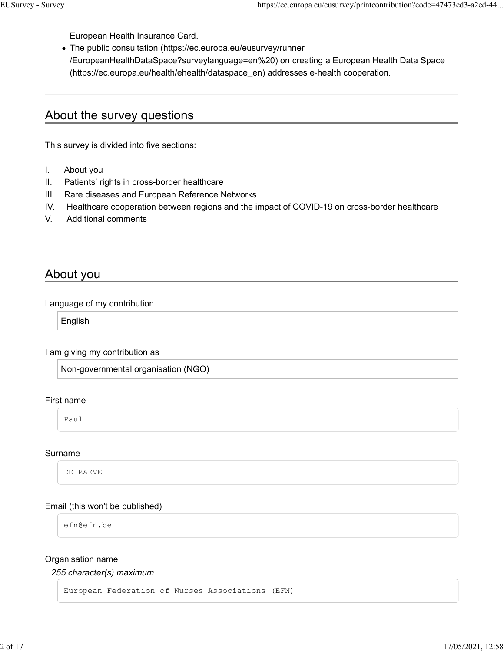European Health Insurance Card.

The public consultation (https://ec.europa.eu/eusurvey/runner /EuropeanHealthDataSpace?surveylanguage=en%20) on creating a European Health Data Space (https://ec.europa.eu/health/ehealth/dataspace\_en) addresses e-health cooperation.

# About the survey questions

This survey is divided into five sections:

- I. About you
- II. Patients' rights in cross-border healthcare
- III. Rare diseases and European Reference Networks
- IV. Healthcare cooperation between regions and the impact of COVID-19 on cross-border healthcare
- V. Additional comments

# About you

#### Language of my contribution

English

#### I am giving my contribution as

Non-governmental organisation (NGO)

#### First name

Paul

#### Surname

DE RAEVE

## Email (this won't be published)

efn@efn.be

#### Organisation name

#### *255 character(s) maximum*

European Federation of Nurses Associations (EFN)